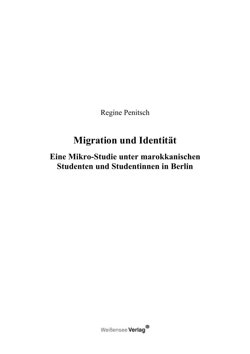Regine Penitsch

# **Migration und Identität**

## Eine Mikro-Studie unter marokkanischen Studenten und Studentinnen in Berlin

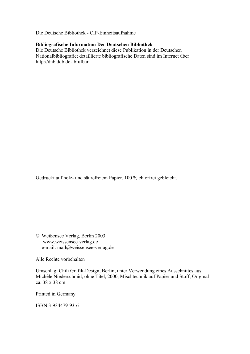Die Deutsche Bibliothek - CIP-Einheitsaufnahme

#### **Bibliografische Information Der Deutschen Bibliothek**

Die Deutsche Bibliothek verzeichnet diese Publikation in der Deutschen National bibliografie; detaillierte bibliografische Daten sind im Internet über http://dnb.ddb.de abrufbar.

Gedruckt auf holz- und säurefreiem Papier, 100 % chlorfrei gebleicht.

© Weißensee Verlag, Berlin 2003 www.weissensee-verlag.de e-mail: mail@weissensee-verlag.de

Alle Rechte vorbehalten

Umschlag: Chili Grafik-Design, Berlin, unter Verwendung eines Ausschnittes aus: Michèle Niederschmid, ohne Titel, 2000, Mischtechnik auf Papier und Stoff; Original ca. 38 x 38 cm

Printed in Germany

ISBN 3-934479-93-6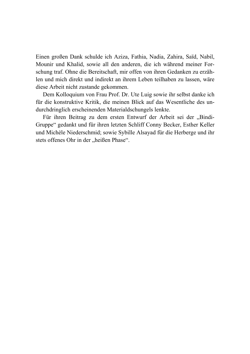Einen großen Dank schulde ich Aziza, Fathia, Nadia, Zahira, Saïd, Nabil, Mounir und Khalid, sowie all den anderen, die ich während meiner Forschung traf. Ohne die Bereitschaft, mir offen von ihren Gedanken zu erzählen und mich direkt und indirekt an ihrem Leben teilhaben zu lassen, wäre diese Arbeit nicht zustande gekommen.

Dem Kolloquium von Frau Prof. Dr. Ute Luig sowie ihr selbst danke ich für die konstruktive Kritik, die meinen Blick auf das Wesentliche des undurchdringlich erscheinenden Materialdschungels lenkte.

Für ihren Beitrag zu dem ersten Entwurf der Arbeit sei der "Bindi-Gruppe" gedankt und für ihren letzten Schliff Conny Becker, Esther Keller und Michèle Niederschmid; sowie Sybille Alsayad für die Herberge und ihr stets offenes Ohr in der "heißen Phase".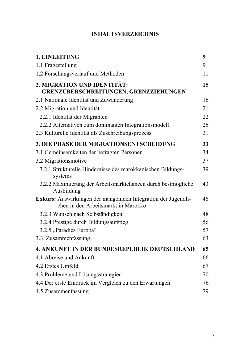## **INHALTSVERZEICHNIS**

| 1. EINLEITUNG                                                                                        | 9  |
|------------------------------------------------------------------------------------------------------|----|
| 1.1 Fragestellung                                                                                    | 9  |
| 1.2 Forschungsverlauf und Methoden                                                                   | 11 |
| 2. MIGRATION UND IDENTITÄT:<br>GRENZÜBERSCHREITUNGEN, GRENZZIEHUNGEN                                 | 15 |
| 2.1 Nationale Identität und Zuwanderung                                                              | 16 |
| 2.2 Migration und Identität                                                                          | 21 |
| 2.2.1 Identität der Migranten                                                                        | 22 |
| 2.2.2 Alternativen zum dominanten Integrationsmodell                                                 | 26 |
| 2.3 Kulturelle Identität als Zuschreibungsprozess                                                    | 31 |
| 3. DIE PHASE DER MIGRATIONSENTSCHEIDUNG                                                              | 33 |
| 3.1 Gemeinsamkeiten der befragten Personen                                                           | 34 |
| 3.2 Migrations motive                                                                                | 37 |
| 3.2.1 Strukturelle Hindernisse des marokkanischen Bildungs-<br>systems                               | 39 |
| 3.2.2 Maximierung der Arbeitsmarktchancen durch bestmögliche<br>Ausbildung                           | 43 |
| Exkurs: Auswirkungen der mangelnden Integration der Jugendli-<br>chen in den Arbeitsmarkt in Marokko | 46 |
| 3.2.3 Wunsch nach Selbständigkeit                                                                    | 48 |
| 3.2.4 Prestige durch Bildungsaufstieg                                                                | 56 |
| 3.2.5 "Paradies Europa"                                                                              | 57 |
| 3.3. Zusammenfassung                                                                                 | 63 |
| <b>4. ANKUNFT IN DER BUNDESREPUBLIK DEUTSCHLAND</b>                                                  | 65 |
| 4.1 Abreise und Ankunft                                                                              | 66 |
| 4.2 Erstes Umfeld                                                                                    | 67 |
| 4.3 Probleme und Lösungsstrategien                                                                   | 70 |
| 4.4 Der erste Eindruck im Vergleich zu den Erwartungen                                               | 76 |
| 4.5 Zusammenfassung                                                                                  | 79 |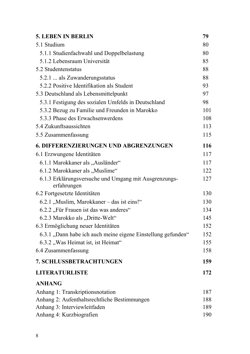| <b>5. LEBEN IN BERLIN</b>                                            | 79  |
|----------------------------------------------------------------------|-----|
| 5.1 Studium                                                          | 80  |
| 5.1.1 Studienfachwahl und Doppelbelastung                            | 80  |
| 5.1.2 Lebensraum Universität                                         | 85  |
| 5.2 Studentenstatus                                                  | 88  |
| 5.2.1  als Zuwanderungsstatus                                        | 88  |
| 5.2.2 Positive Identifikation als Student                            | 93  |
| 5.3 Deutschland als Lebensmittelpunkt                                | 97  |
| 5.3.1 Festigung des sozialen Umfelds in Deutschland                  | 98  |
| 5.3.2 Bezug zu Familie und Freunden in Marokko                       | 101 |
| 5.3.3 Phase des Erwachsenwerdens                                     | 108 |
| 5.4 Zukunftsaussichten                                               | 113 |
| 5.5 Zusammenfassung                                                  | 115 |
| <b>6. DIFFERENZIERUNGEN UND ABGRENZUNGEN</b>                         | 116 |
| 6.1 Erzwungene Identitäten                                           | 117 |
| 6.1.1 Marokkaner als "Ausländer"                                     | 117 |
| 6.1.2 Marokkaner als "Muslime"                                       | 122 |
| 6.1.3 Erklärungsversuche und Umgang mit Ausgrenzungs-<br>erfahrungen | 127 |
| 6.2 Fortgesetzte Identitäten                                         | 130 |
| 6.2.1 "Muslim, Marokkaner – das ist eins!"                           | 130 |
| 6.2.2, Für Frauen ist das was anderes"                               | 134 |
| 6.2.3 Marokko als "Dritte-Welt"                                      | 145 |
| 6.3 Ermöglichung neuer Identitäten                                   | 152 |
| 6.3.1, Dann habe ich auch meine eigene Einstellung gefunden"         | 152 |
| 6.3.2, Was Heimat ist, ist Heimat"                                   | 155 |
| 6.4 Zusammenfassung                                                  | 158 |
| 7. SCHLUSSBETRACHTUNGEN                                              | 159 |
| <b>LITERATURLISTE</b>                                                | 172 |
| <b>ANHANG</b>                                                        |     |
| Anhang 1: Transkriptionsnotation                                     | 187 |
| Anhang 2: Aufenthaltsrechtliche Bestimmungen                         | 188 |
| Anhang 3: Interviewleitfaden                                         | 189 |
| Anhang 4: Kurzbiografien                                             | 190 |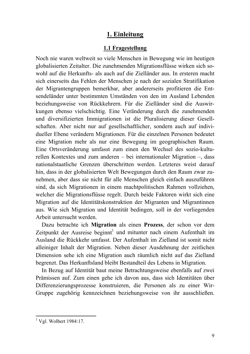### 1. Einleitung

#### 1.1 Fragestellung

Noch nie waren weltweit so viele Menschen in Bewegung wie im heutigen globalisierten Zeitalter. Die zunehmenden Migrationsflüsse wirken sich sowohl auf die Herkunfts- als auch auf die Zielländer aus. In ersteren macht sich einerseits das Fehlen der Menschen ie nach der sozialen Stratifikation der Migrantengruppen bemerkbar, aber andererseits profitieren die Entsendeländer unter bestimmten Umständen von den im Ausland Lebenden beziehungsweise von Rückkehrern. Für die Zielländer sind die Auswirkungen ebenso vielschichtig. Eine Veränderung durch die zunehmenden und diversifizierten Immigrationen ist die Pluralisierung dieser Gesellschaften. Aber nicht nur auf gesellschaftlicher, sondern auch auf individueller Ebene verändern Migrationen. Für die einzelnen Personen bedeutet eine Migration mehr als nur eine Bewegung im geographischen Raum. Eine Ortsveränderung umfasst zum einen den Wechsel des sozio-kulturellen Kontextes und zum anderen – bei internationaler Migration –, dass nationalstaatliche Grenzen überschritten werden. Letzteres weist darauf hin, dass in der globalisierten Welt Bewegungen durch den Raum zwar zunehmen, aber dass sie nicht für alle Menschen gleich einfach auszuführen sind, da sich Migrationen in einem machtpolitischen Rahmen vollziehen. welcher die Migrationsflüsse regelt. Durch beide Faktoren wirkt sich eine Migration auf die Identitätskonstruktion der Migranten und Migrantinnen aus. Wie sich Migration und Identität bedingen, soll in der vorliegenden Arbeit untersucht werden

Dazu betrachte ich Migration als einen Prozess, der schon vor dem Zeitpunkt der Ausreise beginnt<sup>1</sup> und mitunter nach einem Aufenthalt im Ausland die Rückkehr umfasst. Der Aufenthalt im Zielland ist somit nicht alleiniger Inhalt der Migration. Neben dieser Ausdehnung der zeitlichen Dimension sehe ich eine Migration auch räumlich nicht auf das Zielland begrenzt. Das Herkunftsland bleibt Bestandteil des Lebens in Migration.

In Bezug auf Identität baut meine Betrachtungsweise ebenfalls auf zwei Prämissen auf. Zum einen gehe ich davon aus, dass sich Identitäten über Differenzierungsprozesse konstruieren, die Personen als zu einer Wir-Gruppe zugehörig kennzeichnen beziehungsweise von ihr ausschließen.

 $1$  Vgl. Wolbert 1984:17.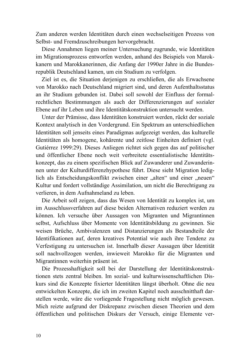Zum anderen werden Identitäten durch einen wechselseitigen Prozess von Selbst- und Fremdzuschreibungen hervorgebracht.

Diese Annahmen liegen meiner Untersuchung zugrunde, wie Identitäten im Migrationsprozess entworfen werden, anhand des Beispiels von Marokkanern und Marokkanerinnen, die Anfang der 1990er Jahre in die Bundesrepublik Deutschland kamen, um ein Studium zu verfolgen.

Ziel ist es, die Situation derjenigen zu erschließen, die als Erwachsene von Marokko nach Deutschland migriert sind, und deren Aufenthaltsstatus an ihr Studium gebunden ist. Dabei soll sowohl der Einfluss der formalrechtlichen Bestimmungen als auch der Differenzierungen auf sozialer Ebene auf ihr Leben und ihre Identitätskonstruktion untersucht werden.

Unter der Prämisse, dass Identitäten konstruiert werden, rückt der soziale Kontext analytisch in den Vordergrund. Ein Spektrum an unterschiedlichen Identitäten soll jenseits eines Paradigmas aufgezeigt werden, das kulturelle Identitäten als homogene, kohärente und zeitlose Einheiten definiert (vgl. Gutiérrez 1999:29). Dieses Anliegen richtet sich gegen das auf politischer und öffentlicher Ebene noch weit verbreitete essentialistische Identitätskonzept, das zu einem spezifischen Blick auf Zuwanderer und Zuwanderinnen unter der Kulturdifferenzhypothese führt. Diese sieht Migration lediglich als Entscheidungskonflikt zwischen einer "alten" und einer "neuen" Kultur und fordert vollständige Assimilation, um nicht die Berechtigung zu verlieren, in dem Aufnahmeland zu leben.

Die Arbeit soll zeigen, dass das Wesen von Identität zu komplex ist, um im Ausschlussverfahren auf diese beiden Alternativen reduziert werden zu können. Ich versuche über Aussagen von Migranten und Migrantinnen selbst, Aufschluss über Momente von Identitätsbildung zu gewinnen. Sie weisen Brüche, Ambivalenzen und Distanzierungen als Bestandteile der Identifikationen auf, deren kreatives Potential wie auch ihre Tendenz zu Verfestigung zu untersuchen ist. Innerhalb dieser Aussagen über Identität soll nachvollzogen werden, inwieweit Marokko für die Migranten und Migrantinnen weiterhin präsent ist.

Die Prozesshaftigkeit soll bei der Darstellung der Identitätskonstruktionen stets zentral bleiben. Im sozial- und kulturwissenschaftlichen Diskurs sind die Konzepte fixierter Identitäten längst überholt. Ohne die neu entwickelten Konzepte, die ich im zweiten Kapitel noch ausschnitthaft darstellen werde, wäre die vorliegende Fragestellung nicht möglich gewesen. Mich reizte aufgrund der Diskrepanz zwischen diesen Theorien und dem öffentlichen und politischen Diskurs der Versuch, einige Elemente ver-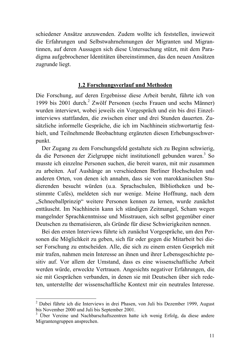schiedener Ansätze anzuwenden. Zudem wollte ich feststellen, inwieweit die Erfahrungen und Selbstwahrnehmungen der Migranten und Migrantinnen, auf deren Aussagen sich diese Untersuchung stützt, mit dem Paradigma aufgebrochener Identitäten übereinstimmen, das den neuen Ansätzen zugrunde liegt.

#### 1.2 Forschungsverlauf und Methoden

Die Forschung, auf deren Ergebnisse diese Arbeit beruht, führte ich von 1999 bis 2001 durch.<sup>2</sup> Zwölf Personen (sechs Frauen und sechs Männer) wurden interviewt, wobei jeweils ein Vorgespräch und ein bis drei Einzelinterviews stattfanden, die zwischen einer und drei Stunden dauerten. Zusätzliche informelle Gespräche, die ich im Nachhinein stichwortartig festhielt, und Teilnehmende Beobachtung ergänzten diesen Erhebungsschwerpunkt.

Der Zugang zu dem Forschungsfeld gestaltete sich zu Beginn schwierig, da die Personen der Zielgruppe nicht institutionell gebunden waren.<sup>3</sup> So musste ich einzelne Personen suchen, die bereit waren, mit mir zusammen zu arbeiten. Auf Aushänge an verschiedenen Berliner Hochschulen und anderen Orten, von denen ich annahm, dass sie von marokkanischen Studierenden besucht würden (u.a. Sprachschulen, Bibliotheken und bestimmte Cafés), meldeten sich nur wenige. Meine Hoffnung, nach dem "Schneeballprinzip" weitere Personen kennen zu lernen, wurde zunächst enttäuscht. Im Nachhinein kann ich ständigen Zeitmangel, Scham wegen mangelnder Sprachkenntnisse und Misstrauen, sich selbst gegenüber einer Deutschen zu thematisieren, als Gründe für diese Schwierigkeiten nennen.

Bei den ersten Interviews führte ich zunächst Vorgespräche, um den Personen die Möglichkeit zu geben, sich für oder gegen die Mitarbeit bei dieser Forschung zu entscheiden. Alle, die sich zu einem ersten Gespräch mit mir trafen, nahmen mein Interesse an ihnen und ihrer Lebensgeschichte positiv auf. Vor allem der Umstand, dass es eine wissenschaftliche Arbeit werden würde, erweckte Vertrauen. Angesichts negativer Erfahrungen, die sie mit Gesprächen verbanden, in denen sie mit Deutschen über sich redeten, unterstellte der wissenschaftliche Kontext mir ein neutrales Interesse.

<sup>&</sup>lt;sup>2</sup> Dabei führte ich die Interviews in drei Phasen, von Juli bis Dezember 1999, August bis November 2000 und Juli bis September 2001.

<sup>&</sup>lt;sup>3</sup> Über Vereine und Nachbarschaftszentren hatte ich wenig Erfolg, da diese andere Migrantengruppen ansprechen.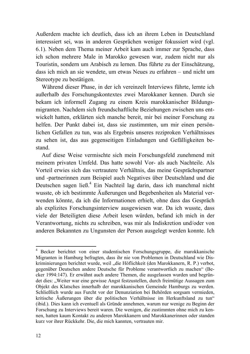Außerdem machte ich deutlich, dass ich an ihrem Leben in Deutschland interessiert sei, was in anderen Gesprächen weniger fokussiert wird (vgl. 6.1). Neben dem Thema meiner Arbeit kam auch immer zur Sprache, dass ich schon mehrere Male in Marokko gewesen war, zudem nicht nur als Touristin, sondern um Arabisch zu lernen. Das führte zu der Einschätzung, dass ich mich an sie wendete, um etwas Neues zu erfahren – und nicht um Stereotype zu bestätigen.

Während dieser Phase, in der ich vereinzelt Interviews führte, lernte ich außerhalb des Forschungskontextes zwei Marokkaner kennen. Durch sie bekam ich informell Zugang zu einem Kreis marokkanischer Bildungsmigranten. Nachdem sich freundschaftliche Beziehungen zwischen uns entwickelt hatten, erklärten sich manche bereit, mir bei meiner Forschung zu helfen. Der Punkt dabei ist, dass sie zustimmten, um mir einen persönlichen Gefallen zu tun, was als Ergebnis unseres reziproken Verhältnisses zu sehen ist, das aus gegenseitigen Einladungen und Gefälligkeiten bestand.

Auf diese Weise vermischte sich mein Forschungsfeld zunehmend mit meinem privaten Umfeld. Das hatte sowohl Vor- als auch Nachteile. Als Vorteil erwies sich das vertrautere Verhältnis, das meine Gesprächspartner und -partnerinnen zum Beispiel auch Negatives über Deutschland und die Deutschen sagen ließ.<sup>4</sup> Ein Nachteil lag darin, dass ich manchmal nicht wusste, ob ich bestimmte Äußerungen und Begebenheiten als Material verwenden könnte, da ich die Informationen erhielt, ohne dass das Gespräch als explizites Forschungsinterview ausgewiesen war. Da ich wusste, dass viele der Beteiligten diese Arbeit lesen würden, befand ich mich in der Verantwortung, nichts zu schreiben, was mir als Indiskretion und/oder von anderen Bekannten zu Ungunsten der Person ausgelegt werden konnte. Ich

Becker berichtet von einer studentischen Forschungsgruppe, die marokkanische Migranten in Hamburg befragten, dass ihr nie von Problemen in Deutschland wie Diskriminierungen berichtet wurde, weil "die Höflichkeit (den Marokkanern, R. P.) verbot, gegenüber Deutschen andere Deutsche für Probleme verantwortlich zu machen" (Becker 1994:147). Er erwähnt auch andere Themen, die ausgelassen wurden und begründet dies: "Weiter war eine gewisse Angst festzustellen, durch freimütige Aussagen zum Objekt des Klatsches innerhalb der marokkanischen Gemeinde Hamburgs zu werden. Schließlich wurde aus Furcht vor der Denunziation bei Behörden sorgsam vermieden, kritische Äußerungen über die politischen Verhältnisse im Herkunftsland zu tun" (ibid.). Dies kann ich eventuell als Gründe annehmen, warum nur wenige zu Beginn der Forschung zu Interviews bereit waren. Die wenigen, die zustimmten ohne mich zu kennen, hatten kaum Kontakt zu anderen Marokkanern und Marokkanerinnen oder standen kurz vor ihrer Rückkehr. Die, die mich kannten, vertrauten mir.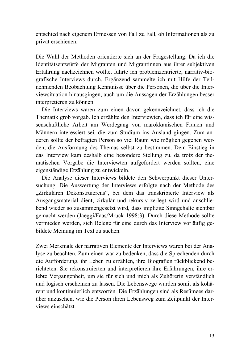entschied nach eigenem Ermessen von Fall zu Fall, ob Informationen als zu privat erschienen.

Die Wahl der Methoden orientierte sich an der Fragestellung. Da ich die Identitätsentwürfe der Migranten und Migrantinnen aus ihrer subjektiven Erfahrung nachzeichnen wollte, führte ich problemzentrierte, narrativ-biografische Interviews durch. Ergänzend sammelte ich mit Hilfe der Teilnehmenden Beobachtung Kenntnisse über die Personen, die über die Interviewsituation hinausgingen, auch um die Aussagen der Erzählungen besser interpretieren zu können.

Die Interviews waren zum einen davon gekennzeichnet, dass ich die Thematik grob vorgab. Ich erzählte den Interviewten, dass ich für eine wissenschaftliche Arbeit am Werdegang von marokkanischen Frauen und Männern interessiert sei, die zum Studium ins Ausland gingen. Zum anderen sollte der befragten Person so viel Raum wie möglich gegeben werden, die Ausformung des Themas selbst zu bestimmen. Dem Einstieg in das Interview kam deshalb eine besondere Stellung zu, da trotz der thematischen Vorgabe die Interviewten aufgefordert werden sollten, eine eigenständige Erzählung zu entwickeln.

Die Analyse dieser Interviews bildete den Schwerpunkt dieser Untersuchung. Die Auswertung der Interviews erfolgte nach der Methode des "Zirkulären Dekonstruierens", bei dem das transkribierte Interview als Ausgangsmaterial dient, zirkulär und rekursiv zerlegt wird und anschlie-Bend wieder so zusammengesetzt wird, dass implizite Sinngehalte sichtbar gemacht werden (Jaeggi/Faas/Mruck 1998:3). Durch diese Methode sollte vermieden werden, sich Belege für eine durch das Interview vorläufig gebildete Meinung im Text zu suchen.

Zwei Merkmale der narrativen Elemente der Interviews waren bei der Analyse zu beachten. Zum einen war zu bedenken, dass die Sprechenden durch die Aufforderung, ihr Leben zu erzählen, ihre Biografien rückblickend berichteten. Sie rekonstruierten und interpretieren ihre Erfahrungen, ihre erlebte Vergangenheit, um sie für sich und mich als Zuhörerin verständlich und logisch erscheinen zu lassen. Die Lebenswege wurden somit als kohärent und kontinuierlich entworfen. Die Erzählungen sind als Resümees darüber anzusehen, wie die Person ihren Lebensweg zum Zeitpunkt der Interviews einschätzt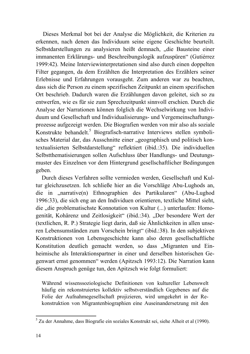Dieses Merkmal bot bei der Analyse die Möglichkeit, die Kriterien zu erkennen, nach denen das Individuum seine eigene Geschichte beurteilt. Selbstdarstellungen zu analysieren heißt demnach, "die Bausteine einer immanenten Erklärungs- und Beschreibungslogik aufzuspüren" (Gutiérrez 1999:42). Meine Interviewinterpretationen sind also durch einen doppelten Filter gegangen, da dem Erzählten die Interpretation des Erzählers seiner Erlebnisse und Erfahrungen vorausgeht. Zum anderen war zu beachten, dass sich die Person zu einem spezifischen Zeitpunkt an einem spezifischen Ort beschrieb. Dadurch waren die Erzählungen davon geleitet, sich so zu entwerfen, wie es für sie zum Sprechzeitpunkt sinnvoll erschien. Durch die Analyse der Narrationen können folglich die Wechselwirkung von Individuum und Gesellschaft und Individualisierungs- und Vergemeinschaftungsprozesse aufgezeigt werden. Die Biografien werden von mir also als soziale Konstrukte behandelt.<sup>5</sup> Biografisch-narrative Interviews stellen symbolisches Material dar, das Ausschnitte einer "geographisch und politisch kontextualisierten Selbstdarstellung" reflektiert (ibid.:35). Die individuellen Selbstthematisierungen sollen Aufschluss über Handlungs- und Deutungsmuster des Einzelnen vor dem Hintergrund gesellschaftlicher Bedingungen geben.

Durch dieses Verfahren sollte vermieden werden, Gesellschaft und Kultur gleichzusetzen. Ich schließe hier an die Vorschläge Abu-Lughods an, die in "narrative(n) Ethnographien des Partikularen" (Abu-Lughod 1996:33), die sich eng an den Individuen orientieren, textliche Mittel sieht, die "die problematischste Konnotation von Kultur (...) unterlaufen: Homogenität, Kohärenz und Zeitlosigkeit" (ibid.:34). "Der besondere Wert der (textlichen, R. P.) Strategie liegt darin, daß sie Ähnlichkeiten in allen unseren Lebensumständen zum Vorschein bringt" (ibid.:38). In den subjektiven Konstruktionen von Lebensgeschichte kann also deren gesellschaftliche Konstitution deutlich gemacht werden, so dass "Migranten und Einheimische als Interaktionspartner in einer und derselben historischen Gegenwart ernst genommen" werden (Apitzsch 1993:12). Die Narration kann diesem Anspruch genüge tun, den Apitzsch wie folgt formuliert:

Während wissenssoziologische Definitionen von kultureller Lebenswelt häufig ein rekonstruiertes kollektiv selbstverständlich Gegebenes auf die Folie der Aufnahmegesellschaft projizieren, wird umgekehrt in der Rekonstruktion von Migrantenbiographien eine Auseinandersetzung mit den

<sup>&</sup>lt;sup>5</sup> Zu der Annahme, dass Biografie ein soziales Konstrukt sei, siehe Alheit et al (1990).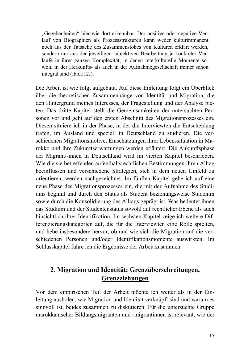"Gegebenheiten" hier wie dort erkennbar. Der positive oder negative Verlauf von Biographien als Prozessstrukturen kann weder kulturimmanent noch aus der Tatsache des Zusammenstoßes von Kulturen erklärt werden, sondern nur aus der jeweiligen subjektiven Bearbeitung je konkreter Verläufe in ihrer ganzen Komplexität, in denen interkulturelle Momente sowohl in der Herkunfts- als auch in der Aufnahmegesellschaft immer schon integral sind (ibid.:12f).

Die Arbeit ist wie folgt aufgebaut. Auf diese Einleitung folgt ein Überblick über die theoretischen Zusammenhänge von Identität und Migration, die den Hintergrund meines Interesses, der Fragestellung und der Analyse bieten. Das dritte Kapitel stellt die Gemeinsamkeiten der untersuchten Personen vor und geht auf den ersten Abschnitt des Migrationsprozesses ein. Diesen situiere ich in der Phase, in der die Interviewten die Entscheidung trafen, im Ausland und speziell in Deutschland zu studieren. Die verschiedenen Migrationsmotive, Einschätzungen ihrer Lebenssituation in Marokko und ihre Zukunftserwartungen werden erläutert. Die Ankunftsphase der Migrant/-innen in Deutschland wird im vierten Kapitel beschrieben. Wie die sie betreffenden aufenthaltsrechtlichen Bestimmungen ihren Alltag beeinflussen und verschiedene Strategien, sich in dem neuen Umfeld zu orientieren, werden nachgezeichnet. Im fünften Kapitel gehe ich auf eine neue Phase des Migrationsprozesses ein, die mit der Aufnahme des Studiums beginnt und durch den Status als Student beziehungsweise Studentin sowie durch die Konsolidierung des Alltags geprägt ist. Was bedeutet ihnen das Studium und der Studentenstatus sowohl auf rechtlicher Ebene als auch hinsichtlich ihrer Identifikation. Im sechsten Kapitel zeige ich weitere Differenzierungskategorien auf, die für die Interviewten eine Rolle spielten, und hebe insbesondere hervor, ob und wie sich die Migration auf die verschiedenen Personen und/oder Identifikationsmomente auswirkten. Im Schlusskapitel führe ich die Ergebnisse der Arbeit zusammen.

## 2. Migration und Identität: Grenzüberschreitungen, Grenzziehungen

Vor dem empirischen Teil der Arbeit möchte ich weiter als in der Einleitung ausholen, wie Migration und Identität verknüpft sind und warum es sinnvoll ist, beides zusammen zu diskutieren. Für die untersuchte Gruppe marokkanischer Bildungsmigranten und -migrantinnen ist relevant, wie der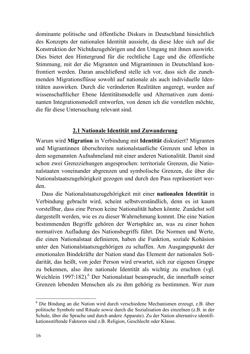dominante politische und öffentliche Diskurs in Deutschland hinsichtlich des Konzepts der nationalen Identität aussieht, da diese Idee sich auf die Konstruktion der Nichtdazugehörigen und den Umgang mit ihnen auswirkt. Dies bietet den Hintergrund für die rechtliche Lage und die öffentliche Stimmung, mit der die Migranten und Migrantinnen in Deutschland konfrontiert werden. Daran anschließend stelle ich vor, dass sich die zunehmenden Migrationsflüsse sowohl auf nationale als auch individuelle Identitäten auswirken. Durch die veränderten Realitäten angeregt, wurden auf wissenschaftlicher Ebene Identitätsmodelle und Alternativen zum dominanten Integrationsmodell entworfen, von denen ich die vorstellen möchte, die für diese Untersuchung relevant sind.

#### 2.1 Nationale Identität und Zuwanderung

Warum wird Migration in Verbindung mit Identität diskutiert? Migranten und Migrantinnen überschreiten nationalstaatliche Grenzen und leben in dem sogenannten Aufnahmeland mit einer anderen Nationalität. Damit sind schon zwei Grenzziehungen angesprochen: territoriale Grenzen, die Nationalstaaten voneinander abgrenzen und symbolische Grenzen, die über die Nationalstaatszugehörigkeit gezogen und durch den Pass repräsentiert werden.

Dass die Nationalstaatszugehörigkeit mit einer nationalen Identität in Verbindung gebracht wird, scheint selbstverständlich, denn es ist kaum vorstellbar, dass eine Person keine Nationalität haben könnte. Zunächst soll dargestellt werden, wie es zu dieser Wahrnehmung kommt. Die eine Nation bestimmenden Begriffe gehören der Wertsphäre an, was zu einer hohen normativen Aufladung des Nationsbegriffs führt. Die Normen und Werte, die einen Nationalstaat definieren, haben die Funktion, soziale Kohäsion unter den Nationalstaatszugehörigen zu schaffen. Am Ausgangspunkt der emotionalen Bindekräfte der Nation stand das Element der nationalen Solidarität, das heißt, von jeder Person wird erwartet, sich zur eigenen Gruppe zu bekennen, also ihre nationale Identität als wichtig zu erachten (vgl. Weichlein 1997:182).<sup>6</sup> Der Nationalstaat beansprucht, die innerhalb seiner Grenzen lebenden Menschen als zu ihm gehörig zu bestimmen. Wer zum

 $6$  Die Bindung an die Nation wird durch verschiedene Mechanismen erzeugt, z.B. über politische Symbole und Rituale sowie durch die Sozialisation des einzelnen (z.B. in der Schule, über die Sprache und durch andere Apparate). Zu der Nation alternative identifikationsstiftende Faktoren sind z.B. Religion, Geschlecht oder Klasse.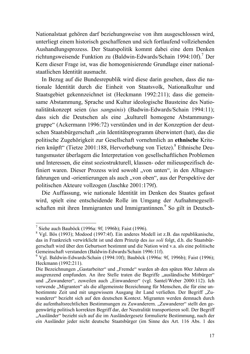Nationalstaat gehören darf beziehungsweise von ihm ausgeschlossen wird, unterliegt einem historisch geschaffenen und sich fortlaufend vollziehenden Aushandlungsprozess. Der Staatspolitik kommt dabei eine dem Denken richtungsweisende Funktion zu (Baldwin-Edwards/Schain 1994:10f).<sup>7</sup> Der Kern dieser Frage ist, was die homogenisierende Grundlage einer nationalstaatlichen Identität ausmacht.

In Bezug auf die Bundesrepublik wird diese darin gesehen, dass die nationale Identität durch die Einheit von Staatsvolk, Nationalkultur und Staatsgebiet gekennzeichnet ist (Heckmann 1992:211); dass die gemeinsame Abstammung, Sprache und Kultur ideologische Bausteine des Nationalitätskonzept seien (ius sanguinis) (Badwin-Edwards/Schain 1994:11); dass sich die Deutschen als eine "kulturell homogene Abstammungsgruppe" (Ackermann 1996:72) verstünden und in der Konzeption der deutschen Staatsbürgerschaft "ein Identitätsprogramm überwintert (hat), das die politische Zugehörigkeit zur Gesellschaft vornehmlich an ethnische Kriterien knüpft" (Tietze 2001:188, Hervorhebung von Tietze).<sup>8</sup> Ethnische Deutungsmuster überlagern die Interpretation von gesellschaftlichen Problemen und Interessen, die einst soziostrukturell, klassen- oder milieuspezifisch definiert waren. Dieser Prozess wird sowohl "von unten", in den Alltagserfahrungen und -orientierungen als auch "von oben", aus der Perspektive der politischen Akteure vollzogen (Jaschke 2001:179f).

Die Auffassung, wie nationale Identität im Denken des Staates gefasst wird, spielt eine entscheidende Rolle im Umgang der Aufnahmegesellschaften mit ihren Immigranten und Immigrantinnen.<sup>9</sup> So gilt in Deutsch-

<sup>&</sup>lt;sup>7</sup> Siehe auch Bauböck (1996a: 9f; 1996b); Faist (1996).

 $8$  Vgl. Bös (1993); Modood (1997:4f). Ein anderes Modell ist z.B. das republikanische, das in Frankreich verwirklicht ist und dem Prinzip des ius soli folgt, d.h. die Staatsbürgerschaft wird über den Geburtsort bestimmt und die Nation wird v.a. als eine politische Gemeinschaft verstanden (Baldwin-Edwards/Schain 1996:11f).

<sup>&</sup>lt;sup>9</sup> Vgl. Baldwin-Edwards/Schain (1994:10f); Bauböck (1996a: 9f, 1996b); Faist (1996); Heckmann (1992:211).

Die Bezeichnungen "Gastarbeiter" und "Fremde" wurden ab den späten 80er Jahren als ausgrenzend empfunden. An ihre Stelle traten die Begriffe "ausländische Mitbürger" und "Zuwanderer", zuweilen auch "Einwanderer" (vgl. Santel/Weber 2000:112). Ich verwende "Migranten" als die allgemeinste Bezeichnung für Menschen, die für eine unbestimmte Zeit und mit ungewissem Ausgang ihr Land verließen. Der Begriff "Zuwanderer" bezieht sich auf den deutschen Kontext. Migranten werden demnach durch die aufenthaltsrechtlichen Bestimmungen zu Zuwanderern. "Zuwanderer" stellt den gegenwärtig politisch korrekten Begriff dar, der Neutralität transportieren soll. Der Begriff "Ausländer" bezieht sich auf die im Ausländergesetz formulierte Bestimmung, nach der ein Ausländer jeder nicht deutsche Staatsbürger (im Sinne des Art. 116 Abs. 1 des